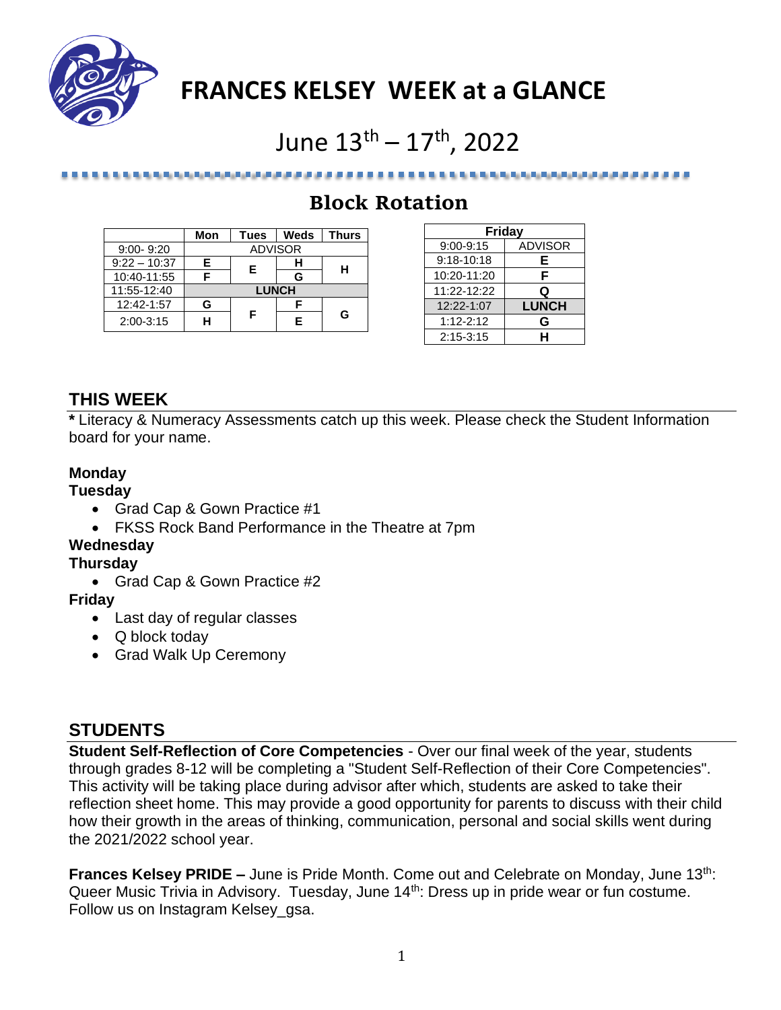

## **FRANCES KELSEY WEEK at a GLANCE**

# June  $13^{\text{th}} - 17^{\text{th}}$ , 2022

## **Block Rotation**

|                | Mon            | Tues | Weds | <b>Thurs</b> |
|----------------|----------------|------|------|--------------|
| $9:00 - 9:20$  | <b>ADVISOR</b> |      |      |              |
| $9:22 - 10:37$ | F.             | Е    |      | н            |
| 10:40-11:55    |                |      | G    |              |
| 11:55-12:40    | <b>LUNCH</b>   |      |      |              |
| 12:42-1:57     | G              | F    |      | G            |
| $2:00-3:15$    |                |      | F    |              |

*Britain Ballyton College Art at the United States* 

| Friday         |                |  |  |
|----------------|----------------|--|--|
| $9:00 - 9:15$  | <b>ADVISOR</b> |  |  |
| $9:18 - 10:18$ | Е              |  |  |
| 10:20-11:20    | F              |  |  |
| 11:22-12:22    | Q              |  |  |
| 12:22-1:07     | <b>LUNCH</b>   |  |  |
| $1:12 - 2:12$  | G              |  |  |
| $2:15 - 3:15$  | н              |  |  |

. . . . . . . . . . . . . . . .

## **THIS WEEK**

**\*** Literacy & Numeracy Assessments catch up this week. Please check the Student Information board for your name.

#### **Monday**

**Tuesday**

- Grad Cap & Gown Practice #1
- FKSS Rock Band Performance in the Theatre at 7pm

### **Wednesday**

#### **Thursday**

• Grad Cap & Gown Practice #2

#### **Friday**

- Last day of regular classes
- Q block today
- Grad Walk Up Ceremony

## **STUDENTS**

**Student Self-Reflection of Core Competencies** - Over our final week of the year, students through grades 8-12 will be completing a "Student Self-Reflection of their Core Competencies". This activity will be taking place during advisor after which, students are asked to take their reflection sheet home. This may provide a good opportunity for parents to discuss with their child how their growth in the areas of thinking, communication, personal and social skills went during the 2021/2022 school year.

**Frances Kelsey PRIDE** – June is Pride Month. Come out and Celebrate on Monday, June 13<sup>th</sup>: Queer Music Trivia in Advisory. Tuesday, June 14<sup>th</sup>: Dress up in pride wear or fun costume. Follow us on Instagram Kelsey\_gsa.